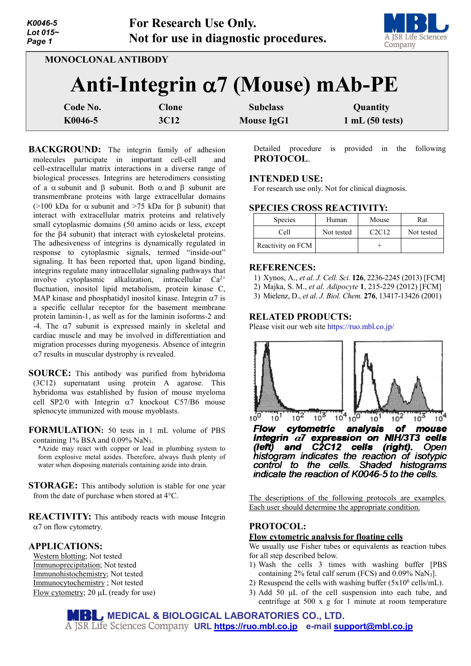| K0046-5<br>Lot 015~<br>Page 1 |                     | <b>For Research Use Only.</b>    | Not for use in diagnostic procedures.   | A JSR Life Science<br>Company |
|-------------------------------|---------------------|----------------------------------|-----------------------------------------|-------------------------------|
|                               | MONOCLONAL ANTIBODY |                                  | Anti-Integrin $\alpha$ 7 (Mouse) mAb-PE |                               |
| Code No.<br>K0046-5           |                     | <b>Clone</b><br>3C <sub>12</sub> | <b>Subclass</b><br><b>Mouse IgG1</b>    | Quantity<br>1 mL(50 tests)    |

**BACKGROUND:** The integrin family of adhesion molecules participate in important cell-cell and cell-extracellular matrix interactions in a diverse range of biological processes. Integrins are heterodimers consisting of a  $\alpha$  subunit and  $\beta$  subunit. Both  $\alpha$  and  $\beta$  subunit are transmembrane proteins with large extracellular domains ( $>100$  kDa for  $\alpha$  subunit and  $>75$  kDa for  $\beta$  subunit) that interact with extracellular matrix proteins and relatively small cytoplasmic domains (50 amino acids or less, except for the β4 subunit) that interact with cytoskeletal proteins. The adhesiveness of integrins is dynamically regulated in response to cytoplasmic signals, termed "inside-out" signaling. It has been reported that, upon ligand binding, integrins regulate many intracellular signaling pathways that involve cytoplasmic alkalization, intracellular  $Ca^{2+}$ fluctuation, inositol lipid metabolism, protein kinase C, MAP kinase and phosphatidyl inositol kinase. Integrin  $\alpha$ 7 is a specific cellular receptor for the basement membrane protein laminin-1, as well as for the laminin isoforms-2 and -4. The α7 subunit is expressed mainly in skeletal and cardiac muscle and may be involved in differentiation and migration processes during myogenesis. Absence of integrin  $\alpha$ 7 results in muscular dystrophy is revealed.

**SOURCE:** This antibody was purified from hybridoma (3C12) supernatant using protein A agarose. This hybridoma was established by fusion of mouse myeloma cell SP2/0 with Integrin  $\alpha$ 7 knockout C57/B6 mouse splenocyte immunized with mouse myoblasts.

**FORMULATION:** 50 tests in 1 mL volume of PBS containing 1% BSA and 0.09% NaN3.

\*Azide may react with copper or lead in plumbing system to form explosive metal azides. Therefore, always flush plenty of water when disposing materials containing azide into drain.

**STORAGE:** This antibody solution is stable for one year from the date of purchase when stored at 4°C.

**REACTIVITY:** This antibody reacts with mouse Integrin α7 on flow cytometry.

## **APPLICATIONS:**

Western blotting; Not tested Immunoprecipitation; Not tested Immunohistochemistry; Not tested Immunocytochemistry ; Not tested Flow cytometry; 20  $\mu$ L (ready for use)

Detailed procedure is provided in the following **PROTOCOL**.

## **INTENDED USE:**

For research use only. Not for clinical diagnosis.

### **SPECIES CROSS REACTIVITY:**

| <b>Species</b>    | Human      | Mouse | Rat        |
|-------------------|------------|-------|------------|
| Cell              | Not tested | C2C12 | Not tested |
| Reactivity on FCM |            |       |            |

#### **REFERENCES:**

- 1) Xynos, A., *et al*. *J. Cell. Sci.* **126**, 2236-2245 (2013) [FCM]
- 2) Majka, S. M., *et al*. *Adipocyte* **1**, 215-229 (2012) [FCM]
- 3) Mielenz, D., *et al*. *J. Biol. Chem.* **276**, 13417-13426 (2001)

# **RELATED PRODUCTS:**

Please visit our web site<https://ruo.mbl.co.jp/>



Integrin  $\alpha$ 7 expression on NIH/3T3 cells C<sub>2</sub>C<sub>12</sub> cells *(left)* (right). and Open histogram indicates the reaction of isotypic control to the cells. Shaded histograms indicate the reaction of K0046-5 to the cells.

The descriptions of the following protocols are examples. Each user should determine the appropriate condition.

# **PROTOCOL: Flow cytometric analysis for floating cells**

We usually use Fisher tubes or equivalents as reaction tubes for all step described below.

- 1) Wash the cells 3 times with washing buffer [PBS containing 2% fetal calf serum (FCS) and 0.09% NaN3].
- 2) Resuspend the cells with washing buffer  $(5x10^6 \text{ cells/mL})$ .
- 3) Add 50 µL of the cell suspension into each tube, and centrifuge at 500 x g for 1 minute at room temperature

**MEDICAL & BIOLOGICAL LABORATORIES CO., LTD. URL [https://ruo.mbl.co.jp](https://ruo.mbl.co.jp/) e-mail [support@mbl.co.jp](mailto:support@mbl.co.jp)**